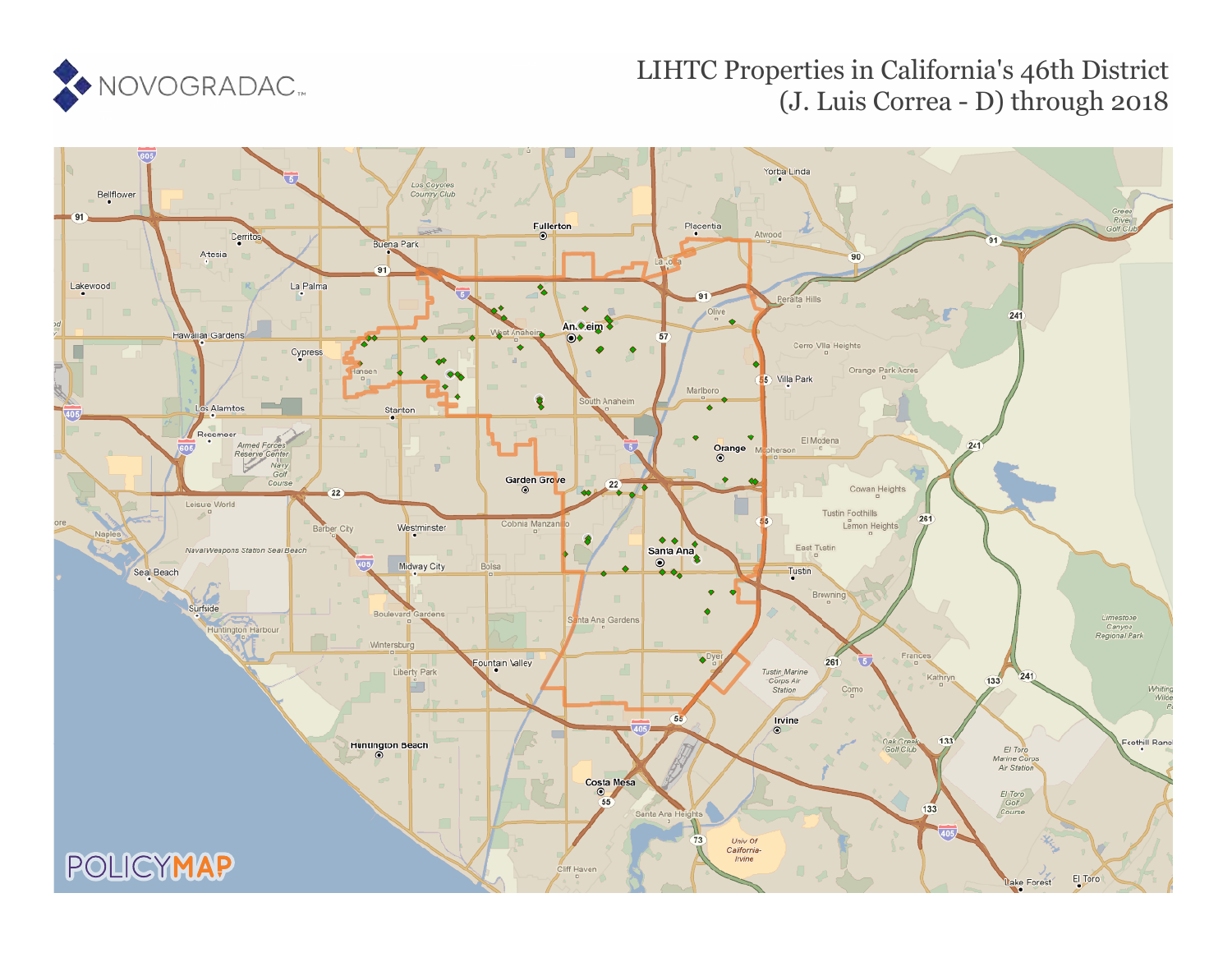

# LIHTC Properties in California's 46th District (J. Luis Correa - D) through 2018

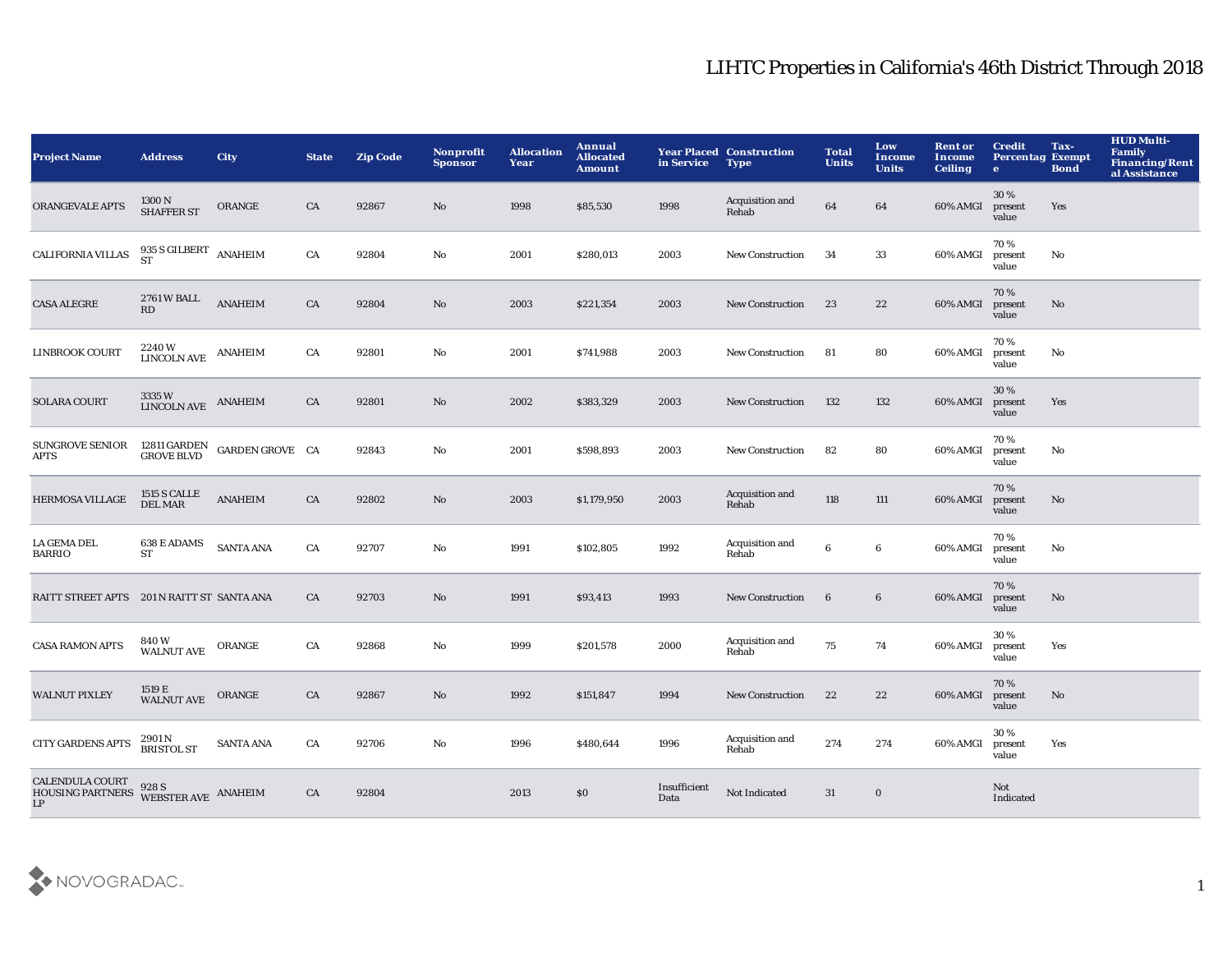| <b>Project Name</b>                                                                                                                          | <b>Address</b>                                            | <b>City</b>                             | <b>State</b> | <b>Zip Code</b> | Nonprofit<br><b>Sponsor</b> | <b>Allocation</b><br>Year | Annual<br><b>Allocated</b><br>Amount | in Service           | <b>Year Placed Construction</b><br><b>Type</b> | <b>Total</b><br><b>Units</b> | Low<br>Income<br><b>Units</b> | <b>Rent or</b><br>Income<br><b>Ceiling</b> | <b>Credit</b><br><b>Percentag Exempt</b><br>$\bullet$ | Tax-<br><b>Bond</b> | <b>HUD Multi-</b><br><b>Family</b><br><b>Financing/Rent</b><br>al Assistance |
|----------------------------------------------------------------------------------------------------------------------------------------------|-----------------------------------------------------------|-----------------------------------------|--------------|-----------------|-----------------------------|---------------------------|--------------------------------------|----------------------|------------------------------------------------|------------------------------|-------------------------------|--------------------------------------------|-------------------------------------------------------|---------------------|------------------------------------------------------------------------------|
| <b>ORANGEVALE APTS</b>                                                                                                                       | 1300 N<br><b>SHAFFER ST</b>                               | ORANGE                                  | CA           | 92867           | No                          | 1998                      | \$85,530                             | 1998                 | Acquisition and<br>Rehab                       | 64                           | 64                            | 60% AMGI                                   | 30%<br>present<br>value                               | Yes                 |                                                                              |
| <b>CALIFORNIA VILLAS</b>                                                                                                                     | $935$ S GILBERT $\;$ ANAHEIM $\;$ ST                      |                                         | CA           | 92804           | No                          | 2001                      | \$280,013                            | 2003                 | New Construction                               | 34                           | 33                            | 60% AMGI                                   | 70%<br>present<br>value                               | No                  |                                                                              |
| <b>CASA ALEGRE</b>                                                                                                                           | 2761 W BALL<br>RD                                         | <b>ANAHEIM</b>                          | CA           | 92804           | $\mathbf{N}\mathbf{o}$      | 2003                      | \$221,354                            | 2003                 | <b>New Construction</b>                        | 23                           | 22                            | 60% AMGI                                   | 70%<br>present<br>value                               | No                  |                                                                              |
| <b>LINBROOK COURT</b>                                                                                                                        | 2240W<br><b>LINCOLN AVE</b>                               | <b>ANAHEIM</b>                          | CA           | 92801           | No                          | 2001                      | \$741,988                            | 2003                 | New Construction                               | 81                           | 80                            | 60% AMGI                                   | 70%<br>present<br>value                               | No                  |                                                                              |
| <b>SOLARA COURT</b>                                                                                                                          | $3335\,\mathrm{W}$ $$\,$ ANAHEIM $$\,$ LINCOLN AVE $$\,}$ |                                         | CA           | 92801           | $\mathbf{N}\mathbf{o}$      | 2002                      | \$383,329                            | 2003                 | <b>New Construction</b>                        | 132                          | 132                           | 60% AMGI                                   | 30%<br>present<br>value                               | Yes                 |                                                                              |
| <b>SUNGROVE SENIOR</b><br><b>APTS</b>                                                                                                        |                                                           | 12811 GARDEN GARDEN GROVE CA GROVE BLVD |              | 92843           | $\mathbf{No}$               | 2001                      | \$598,893                            | 2003                 | <b>New Construction</b>                        | 82                           | 80                            | 60% AMGI                                   | 70%<br>present<br>value                               | No                  |                                                                              |
| HERMOSA VILLAGE                                                                                                                              | <b>1515 S CALLE</b><br><b>DEL MAR</b>                     | <b>ANAHEIM</b>                          | CA           | 92802           | No                          | 2003                      | \$1,179,950                          | 2003                 | Acquisition and<br>Rehab                       | 118                          | 111                           | 60% AMGI                                   | 70%<br>present<br>value                               | $\mathbf{No}$       |                                                                              |
| <b>LA GEMA DEL</b><br><b>BARRIO</b>                                                                                                          | 638 E ADAMS<br>ST                                         | <b>SANTA ANA</b>                        | CA           | 92707           | No                          | 1991                      | \$102,805                            | 1992                 | Acquisition and<br>Rehab                       | 6                            | 6                             | 60% AMGI                                   | 70%<br>present<br>value                               | No                  |                                                                              |
| RAITT STREET APTS 201 N RAITT ST SANTA ANA                                                                                                   |                                                           |                                         | CA           | 92703           | No                          | 1991                      | \$93,413                             | 1993                 | <b>New Construction</b>                        | $6\phantom{.}6$              | $6\phantom{.0}$               | 60% AMGI                                   | 70%<br>present<br>value                               | No                  |                                                                              |
| <b>CASA RAMON APTS</b>                                                                                                                       | 840W<br><b>WALNUT AVE</b>                                 | ORANGE                                  | CA           | 92868           | No                          | 1999                      | \$201,578                            | 2000                 | Acquisition and<br>Rehab                       | 75                           | 74                            | 60% AMGI                                   | 30%<br>present<br>value                               | Yes                 |                                                                              |
| <b>WALNUT PIXLEY</b>                                                                                                                         | 1519 E<br>WALNUT AVE                                      | ORANGE                                  | CA           | 92867           | No                          | 1992                      | \$151,847                            | 1994                 | <b>New Construction</b>                        | 22                           | 22                            | 60% AMGI                                   | 70%<br>present<br>value                               | No                  |                                                                              |
| <b>CITY GARDENS APTS</b>                                                                                                                     | 2901 N<br>BRISTOL ST                                      | <b>SANTA ANA</b>                        | CA           | 92706           | No                          | 1996                      | \$480,644                            | 1996                 | Acquisition and<br>Rehab                       | 274                          | 274                           | 60% AMGI                                   | 30%<br>present<br>value                               | Yes                 |                                                                              |
| $\begin{tabular}{ll} \bf{CALENDULA \; COURT} & \bf{928 \; S} \\ \bf{HOUSING \; PARTNERS} & \bf{WEBSTER \; AVE} & \bf{ANAHEIM} \end{tabular}$ |                                                           |                                         | CA           | 92804           |                             | 2013                      | \$0                                  | Insufficient<br>Data | Not Indicated                                  | 31                           | $\bf{0}$                      |                                            | Not<br>Indicated                                      |                     |                                                                              |

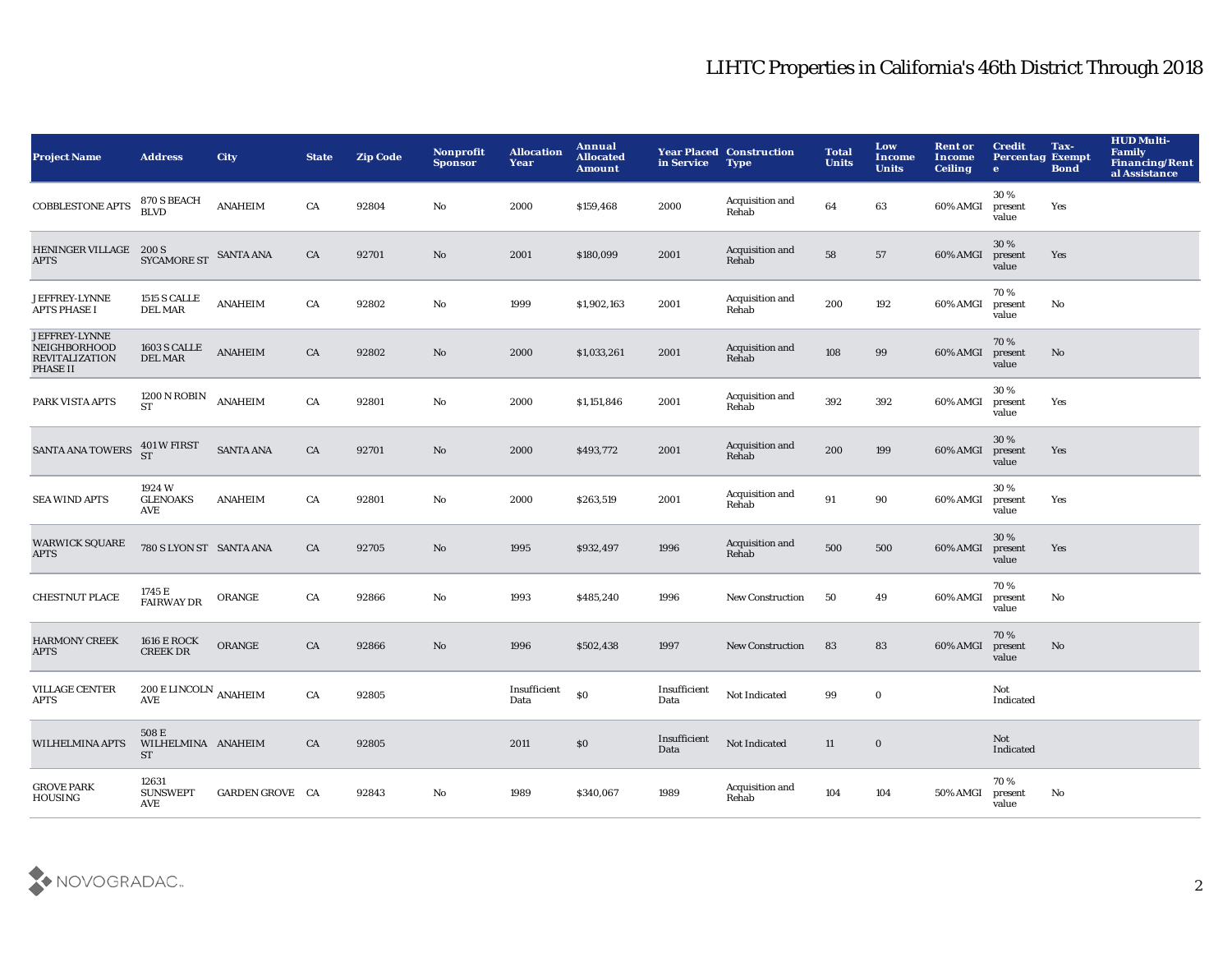| <b>Project Name</b>                                                | <b>Address</b>                           | <b>City</b>      | <b>State</b> | <b>Zip Code</b> | Nonprofit<br><b>Sponsor</b> | <b>Allocation</b><br>Year | Annual<br><b>Allocated</b><br><b>Amount</b> | in Service           | <b>Year Placed Construction</b><br><b>Type</b> | <b>Total</b><br><b>Units</b> | Low<br><b>Income</b><br><b>Units</b> | <b>Rent or</b><br><b>Income</b><br><b>Ceiling</b> | <b>Credit</b><br><b>Percentag Exempt</b><br>$\mathbf{e}$ | Tax-<br><b>Bond</b> | <b>HUD Multi-</b><br>Family<br><b>Financing/Rent</b><br>al Assistance |
|--------------------------------------------------------------------|------------------------------------------|------------------|--------------|-----------------|-----------------------------|---------------------------|---------------------------------------------|----------------------|------------------------------------------------|------------------------------|--------------------------------------|---------------------------------------------------|----------------------------------------------------------|---------------------|-----------------------------------------------------------------------|
| <b>COBBLESTONE APTS</b>                                            | 870 S BEACH<br>BLVD                      | <b>ANAHEIM</b>   | CA           | 92804           | No                          | 2000                      | \$159,468                                   | 2000                 | Acquisition and<br>Rehab                       | 64                           | 63                                   | 60% AMGI                                          | 30%<br>present<br>value                                  | Yes                 |                                                                       |
| HENINGER VILLAGE 200 S<br><b>APTS</b>                              | SYCAMORE ST                              | <b>SANTA ANA</b> | ${\rm CA}$   | 92701           | $\rm\thinspace No$          | 2001                      | \$180,099                                   | 2001                 | Acquisition and<br>Rehab                       | 58                           | 57                                   | 60% AMGI                                          | 30%<br>present<br>value                                  | Yes                 |                                                                       |
| JEFFREY-LYNNE<br><b>APTS PHASE I</b>                               | 1515 S CALLE<br><b>DEL MAR</b>           | <b>ANAHEIM</b>   | CA           | 92802           | $\rm No$                    | 1999                      | \$1,902,163                                 | 2001                 | Acquisition and<br>Rehab                       | 200                          | 192                                  | 60% AMGI                                          | 70%<br>present<br>value                                  | No                  |                                                                       |
| JEFFREY-LYNNE<br>NEIGHBORHOOD<br><b>REVITALIZATION</b><br>PHASE II | 1603 S CALLE<br><b>DEL MAR</b>           | <b>ANAHEIM</b>   | CA           | 92802           | No                          | 2000                      | \$1,033,261                                 | 2001                 | Acquisition and<br>Rehab                       | 108                          | 99                                   | 60% AMGI                                          | 70%<br>present<br>value                                  | No                  |                                                                       |
| PARK VISTA APTS                                                    | 1200 N ROBIN<br><b>ST</b>                | <b>ANAHEIM</b>   | CA           | 92801           | $\rm No$                    | 2000                      | \$1,151,846                                 | 2001                 | Acquisition and<br>Rehab                       | 392                          | 392                                  | 60% AMGI                                          | 30%<br>present<br>value                                  | Yes                 |                                                                       |
| <b>SANTA ANA TOWERS</b>                                            | $401\,\mathrm{W}$ FIRST ST               | <b>SANTA ANA</b> | CA           | 92701           | No                          | 2000                      | \$493,772                                   | 2001                 | Acquisition and<br>Rehab                       | 200                          | 199                                  | 60% AMGI                                          | 30%<br>present<br>value                                  | Yes                 |                                                                       |
| <b>SEA WIND APTS</b>                                               | 1924 W<br><b>GLENOAKS</b><br>AVE         | <b>ANAHEIM</b>   | CA           | 92801           | No                          | 2000                      | \$263,519                                   | 2001                 | Acquisition and<br>Rehab                       | 91                           | 90                                   | 60% AMGI                                          | 30%<br>present<br>value                                  | Yes                 |                                                                       |
| <b>WARWICK SQUARE</b><br><b>APTS</b>                               | 780 S LYON ST SANTA ANA                  |                  | CA           | 92705           | $\mathbf{No}$               | 1995                      | \$932,497                                   | 1996                 | Acquisition and<br>Rehab                       | 500                          | 500                                  | 60% AMGI                                          | 30 %<br>present<br>value                                 | Yes                 |                                                                       |
| <b>CHESTNUT PLACE</b>                                              | 1745 E<br>FAIRWAY DR                     | ORANGE           | CA           | 92866           | $\mathbf {No}$              | 1993                      | \$485,240                                   | 1996                 | <b>New Construction</b>                        | 50                           | 49                                   | 60% AMGI                                          | 70%<br>present<br>value                                  | No                  |                                                                       |
| <b>HARMONY CREEK</b><br><b>APTS</b>                                | <b>1616 E ROCK</b><br><b>CREEK DR</b>    | ORANGE           | CA           | 92866           | $\rm\thinspace No$          | 1996                      | \$502,438                                   | 1997                 | <b>New Construction</b>                        | 83                           | 83                                   | 60% AMGI                                          | 70%<br>present<br>value                                  | No                  |                                                                       |
| <b>VILLAGE CENTER</b><br><b>APTS</b>                               | $200\, \mathrm{ELINCOLN}$ ANAHEIM<br>AVE |                  | CA           | 92805           |                             | Insufficient<br>Data      | \$0                                         | Insufficient<br>Data | Not Indicated                                  | 99                           | $\bf{0}$                             |                                                   | Not<br>Indicated                                         |                     |                                                                       |
| <b>WILHELMINA APTS</b>                                             | 508 E<br>WILHELMINA ANAHEIM<br>ST        |                  | CA           | 92805           |                             | 2011                      | \$0                                         | Insufficient<br>Data | Not Indicated                                  | 11                           | $\bf{0}$                             |                                                   | Not<br>Indicated                                         |                     |                                                                       |
| <b>GROVE PARK</b><br><b>HOUSING</b>                                | 12631<br><b>SUNSWEPT</b><br>AVE          | GARDEN GROVE CA  |              | 92843           | No                          | 1989                      | \$340,067                                   | 1989                 | Acquisition and<br>Rehab                       | 104                          | 104                                  | 50% AMGI                                          | 70%<br>present<br>value                                  | No                  |                                                                       |

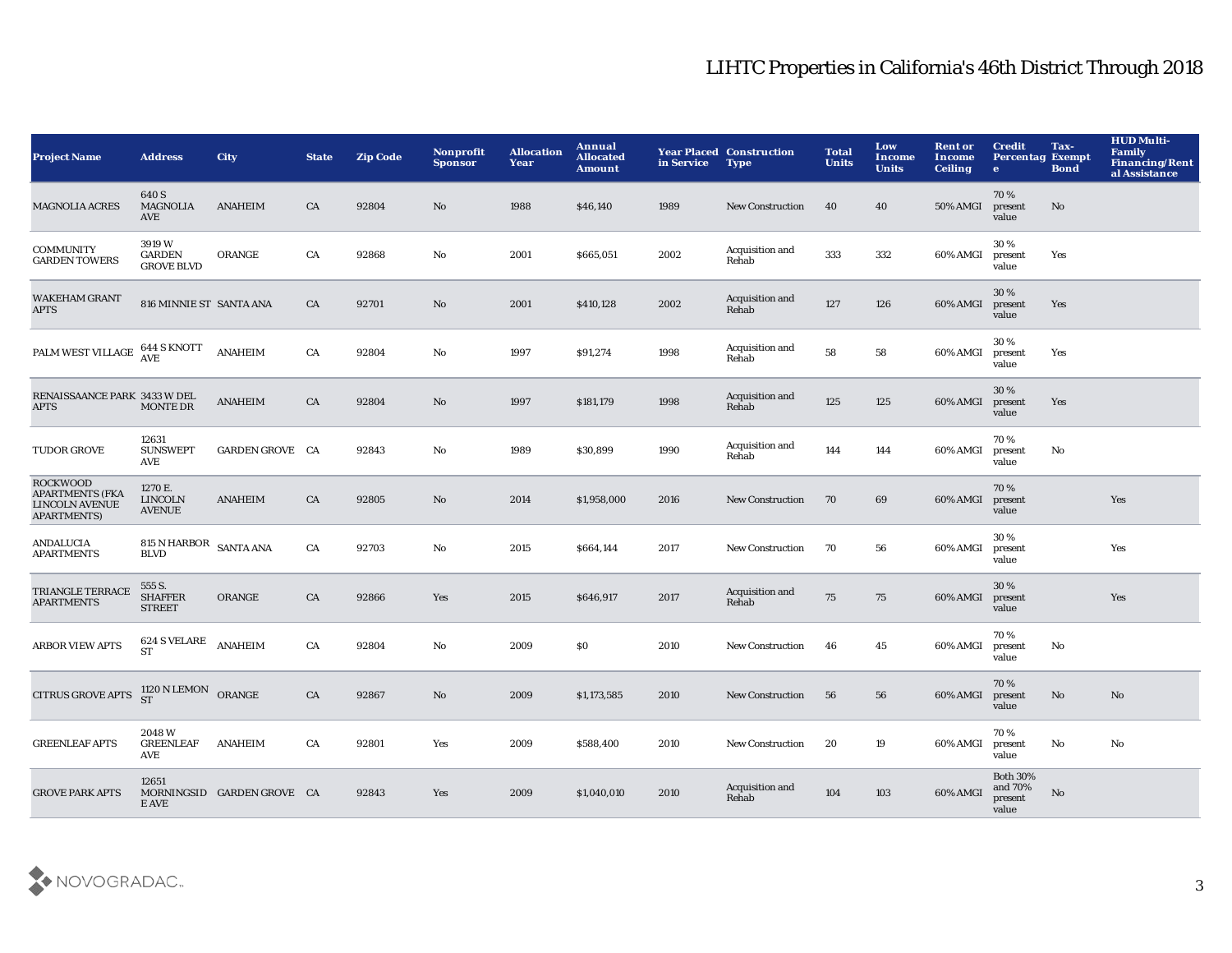| <b>Project Name</b>                                                                      | <b>Address</b>                               | <b>City</b>                | <b>State</b> | <b>Zip Code</b> | Nonprofit<br><b>Sponsor</b> | <b>Allocation</b><br>Year | Annual<br><b>Allocated</b><br><b>Amount</b> | in Service | <b>Year Placed Construction</b><br><b>Type</b> | <b>Total</b><br><b>Units</b> | Low<br><b>Income</b><br><b>Units</b> | <b>Rent or</b><br>Income<br><b>Ceiling</b> | <b>Credit</b><br><b>Percentag Exempt</b><br>$\bullet$ | Tax-<br><b>Bond</b> | <b>HUD Multi-</b><br><b>Family</b><br><b>Financing/Rent</b><br>al Assistance |
|------------------------------------------------------------------------------------------|----------------------------------------------|----------------------------|--------------|-----------------|-----------------------------|---------------------------|---------------------------------------------|------------|------------------------------------------------|------------------------------|--------------------------------------|--------------------------------------------|-------------------------------------------------------|---------------------|------------------------------------------------------------------------------|
| <b>MAGNOLIA ACRES</b>                                                                    | 640 S<br><b>MAGNOLIA</b><br>AVE              | <b>ANAHEIM</b>             | CA           | 92804           | No                          | 1988                      | \$46,140                                    | 1989       | <b>New Construction</b>                        | 40                           | 40                                   | <b>50% AMGI</b>                            | 70%<br>present<br>value                               | No                  |                                                                              |
| <b>COMMUNITY</b><br><b>GARDEN TOWERS</b>                                                 | 3919W<br>${\tt GARDEN}$<br><b>GROVE BLVD</b> | ORANGE                     | ${\rm CA}$   | 92868           | $\rm No$                    | 2001                      | \$665,051                                   | 2002       | Acquisition and<br>Rehab                       | 333                          | 332                                  | 60% AMGI                                   | 30%<br>present<br>value                               | Yes                 |                                                                              |
| <b>WAKEHAM GRANT</b><br><b>APTS</b>                                                      | 816 MINNIE ST SANTA ANA                      |                            | CA           | 92701           | $\rm No$                    | 2001                      | \$410,128                                   | 2002       | Acquisition and<br>Rehab                       | 127                          | 126                                  | 60% AMGI                                   | 30%<br>present<br>value                               | Yes                 |                                                                              |
| PALM WEST VILLAGE                                                                        | 644 S KNOTT<br>AVE                           | <b>ANAHEIM</b>             | CA           | 92804           | No                          | 1997                      | \$91,274                                    | 1998       | Acquisition and<br>Rehab                       | 58                           | 58                                   | 60% AMGI                                   | 30 %<br>present<br>value                              | Yes                 |                                                                              |
| RENAISSAANCE PARK 3433 W DEL<br><b>APTS</b>                                              | <b>MONTE DR</b>                              | <b>ANAHEIM</b>             | CA           | 92804           | No                          | 1997                      | \$181,179                                   | 1998       | Acquisition and<br>Rehab                       | 125                          | 125                                  | 60% AMGI                                   | 30 %<br>present<br>value                              | Yes                 |                                                                              |
| <b>TUDOR GROVE</b>                                                                       | 12631<br><b>SUNSWEPT</b><br>AVE              | GARDEN GROVE CA            |              | 92843           | No                          | 1989                      | \$30,899                                    | 1990       | Acquisition and<br>Rehab                       | 144                          | 144                                  | 60% AMGI                                   | 70%<br>present<br>value                               | No                  |                                                                              |
| <b>ROCKWOOD</b><br><b>APARTMENTS (FKA</b><br><b>LINCOLN AVENUE</b><br><b>APARTMENTS)</b> | 1270 E.<br><b>LINCOLN</b><br><b>AVENUE</b>   | <b>ANAHEIM</b>             | CA           | 92805           | $\mathbf{N}\mathbf{o}$      | 2014                      | \$1,958,000                                 | 2016       | <b>New Construction</b>                        | 70                           | 69                                   | 60% AMGI                                   | 70%<br>present<br>value                               |                     | Yes                                                                          |
| <b>ANDALUCIA</b><br><b>APARTMENTS</b>                                                    | 815 N HARBOR SANTA ANA<br><b>BLVD</b>        |                            | CA           | 92703           | No                          | 2015                      | \$664,144                                   | 2017       | <b>New Construction</b>                        | 70                           | 56                                   | 60% AMGI                                   | 30%<br>present<br>value                               |                     | Yes                                                                          |
| TRIANGLE TERRACE<br><b>APARTMENTS</b>                                                    | 555 S.<br><b>SHAFFER</b><br><b>STREET</b>    | ORANGE                     | CA           | 92866           | Yes                         | 2015                      | \$646,917                                   | 2017       | Acquisition and<br>Rehab                       | 75                           | 75                                   | 60% AMGI                                   | 30 %<br>present<br>value                              |                     | Yes                                                                          |
| <b>ARBOR VIEW APTS</b>                                                                   | 624 S VELARE<br><b>ST</b>                    | <b>ANAHEIM</b>             | CA           | 92804           | $\rm No$                    | 2009                      | \$0                                         | 2010       | <b>New Construction</b>                        | 46                           | 45                                   | 60% AMGI                                   | 70%<br>present<br>value                               | No                  |                                                                              |
| <b>CITRUS GROVE APTS</b>                                                                 | $1120\,\mathrm{N}\,\mathrm{LEMON}$ ORANGE ST |                            | ${\rm CA}$   | 92867           | No                          | 2009                      | \$1,173,585                                 | 2010       | <b>New Construction</b>                        | 56                           | 56                                   | 60% AMGI                                   | 70%<br>present<br>value                               | $\mathbf{No}$       | No                                                                           |
| <b>GREENLEAF APTS</b>                                                                    | 2048W<br><b>GREENLEAF</b><br>AVE             | <b>ANAHEIM</b>             | CA           | 92801           | Yes                         | 2009                      | \$588,400                                   | 2010       | <b>New Construction</b>                        | 20                           | 19                                   | 60% AMGI                                   | 70%<br>present<br>value                               | $\mathbf {No}$      | No                                                                           |
| <b>GROVE PARK APTS</b>                                                                   | 12651<br>E AVE                               | MORNINGSID GARDEN GROVE CA |              | 92843           | Yes                         | 2009                      | \$1,040,010                                 | 2010       | Acquisition and<br>Rehab                       | 104                          | 103                                  | 60% AMGI                                   | <b>Both 30%</b><br>and 70%<br>present<br>value        | No                  |                                                                              |

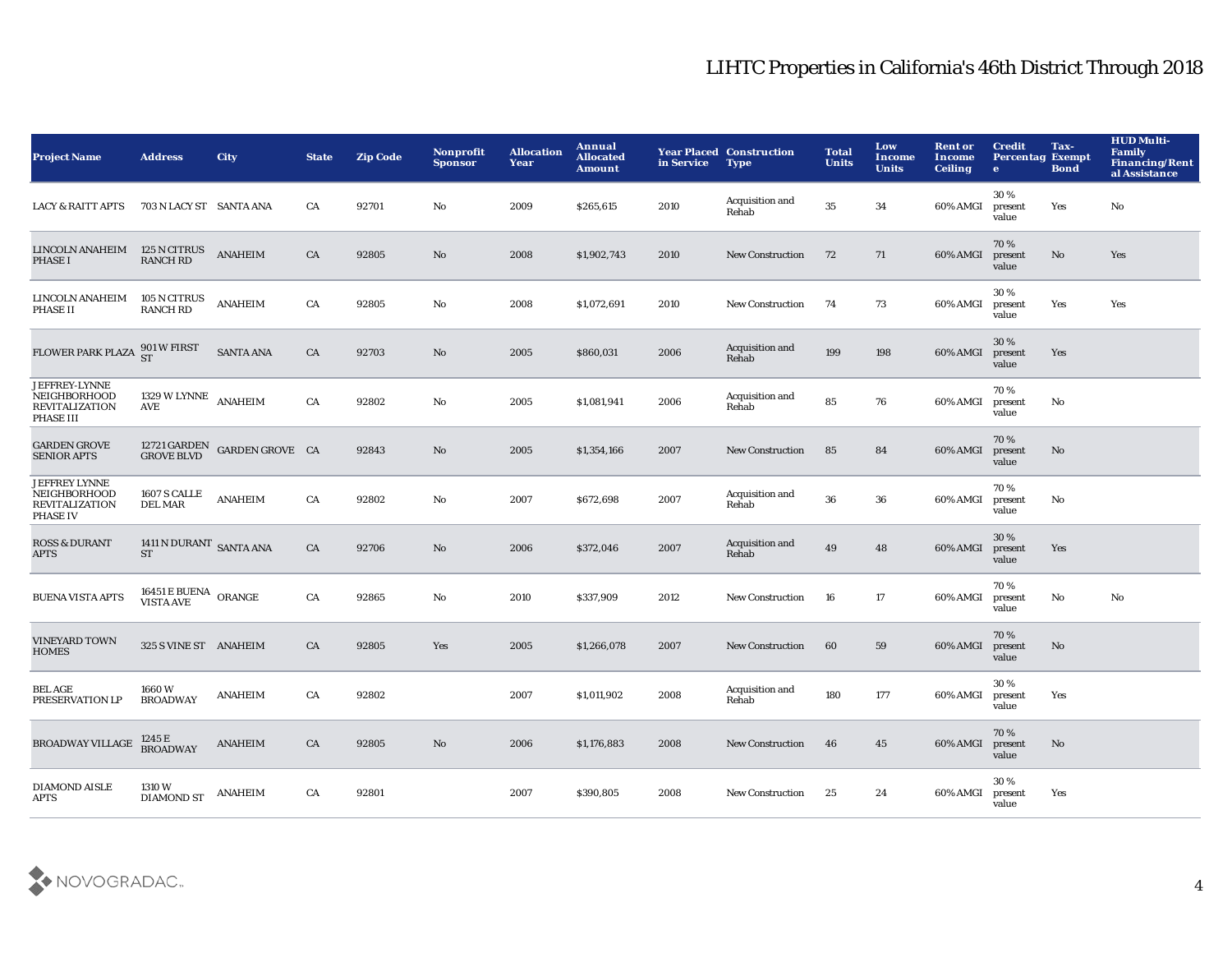| <b>Project Name</b>                                                              | <b>Address</b>                                                                                                  | <b>City</b>                             | <b>State</b> | <b>Zip Code</b> | <b>Nonprofit</b><br><b>Sponsor</b> | <b>Allocation</b><br>Year | Annual<br><b>Allocated</b><br><b>Amount</b> | in Service | <b>Year Placed Construction</b><br><b>Type</b> | <b>Total</b><br><b>Units</b> | Low<br>Income<br><b>Units</b> | <b>Rent or</b><br>Income<br><b>Ceiling</b> | <b>Credit</b><br><b>Percentag Exempt</b><br>$\bullet$ | Tax-<br><b>Bond</b> | <b>HUD Multi-</b><br><b>Family</b><br><b>Financing/Rent</b><br>al Assistance |
|----------------------------------------------------------------------------------|-----------------------------------------------------------------------------------------------------------------|-----------------------------------------|--------------|-----------------|------------------------------------|---------------------------|---------------------------------------------|------------|------------------------------------------------|------------------------------|-------------------------------|--------------------------------------------|-------------------------------------------------------|---------------------|------------------------------------------------------------------------------|
| <b>LACY &amp; RAITT APTS</b>                                                     | 703 N LACY ST SANTA ANA                                                                                         |                                         | CA           | 92701           | No                                 | 2009                      | \$265,615                                   | 2010       | Acquisition and<br>Rehab                       | 35                           | 34                            | 60% AMGI                                   | 30%<br>present<br>value                               | Yes                 | No                                                                           |
| LINCOLN ANAHEIM<br><b>PHASE I</b>                                                | 125 N CITRUS<br><b>RANCH RD</b>                                                                                 | <b>ANAHEIM</b>                          | CA           | 92805           | No                                 | 2008                      | \$1,902,743                                 | 2010       | <b>New Construction</b>                        | 72                           | 71                            | 60% AMGI                                   | 70%<br>present<br>value                               | No                  | Yes                                                                          |
| LINCOLN ANAHEIM<br><b>PHASE II</b>                                               | 105 N CITRUS<br><b>RANCH RD</b>                                                                                 | <b>ANAHEIM</b>                          | CA           | 92805           | No                                 | 2008                      | \$1,072,691                                 | 2010       | New Construction                               | 74                           | 73                            | 60% AMGI                                   | 30%<br>present<br>value                               | Yes                 | Yes                                                                          |
| FLOWER PARK PLAZA 901 W FIRST                                                    |                                                                                                                 | <b>SANTA ANA</b>                        | CA           | 92703           | No                                 | 2005                      | \$860,031                                   | 2006       | Acquisition and<br>Rehab                       | 199                          | 198                           | 60% AMGI                                   | 30%<br>present<br>value                               | Yes                 |                                                                              |
| JEFFREY-LYNNE<br>NEIGHBORHOOD<br><b>REVITALIZATION</b><br>PHASE III              | 1329 W LYNNE ANAHEIM<br>AVE                                                                                     |                                         | CA           | 92802           | No                                 | 2005                      | \$1,081,941                                 | 2006       | Acquisition and<br>Rehab                       | 85                           | 76                            | 60% AMGI                                   | 70%<br>present<br>value                               | No                  |                                                                              |
| <b>GARDEN GROVE</b><br><b>SENIOR APTS</b>                                        |                                                                                                                 | 12721 GARDEN GARDEN GROVE CA GROVE BLVD |              | 92843           | No                                 | 2005                      | \$1,354,166                                 | 2007       | <b>New Construction</b>                        | 85                           | 84                            | 60% AMGI                                   | 70 %<br>present<br>value                              | No                  |                                                                              |
| <b>JEFFREY LYNNE</b><br>NEIGHBORHOOD<br><b>REVITALIZATION</b><br><b>PHASE IV</b> | 1607 S CALLE<br><b>DEL MAR</b>                                                                                  | <b>ANAHEIM</b>                          | CA           | 92802           | No                                 | 2007                      | \$672,698                                   | 2007       | Acquisition and<br>Rehab                       | 36                           | 36                            | 60% AMGI                                   | 70%<br>present<br>value                               | No                  |                                                                              |
| <b>ROSS &amp; DURANT</b><br><b>APTS</b>                                          | 1411 N DURANT SANTA ANA<br><b>ST</b>                                                                            |                                         | CA           | 92706           | No                                 | 2006                      | \$372,046                                   | 2007       | Acquisition and<br>Rehab                       | 49                           | 48                            | 60% AMGI                                   | 30%<br>present<br>value                               | Yes                 |                                                                              |
| <b>BUENA VISTA APTS</b>                                                          | $\begin{array}{ll} 16451 \, \mathrm{E} \, \mathrm{BUENA} & \mathrm{ORANGE} \\ \mathrm{VISTA AVE} & \end{array}$ |                                         | CA           | 92865           | No                                 | 2010                      | \$337,909                                   | 2012       | <b>New Construction</b>                        | 16                           | 17                            | 60% AMGI                                   | 70%<br>present<br>value                               | No                  | No                                                                           |
| <b>VINEYARD TOWN</b><br><b>HOMES</b>                                             | 325 S VINE ST ANAHEIM                                                                                           |                                         | CA           | 92805           | Yes                                | 2005                      | \$1,266,078                                 | 2007       | New Construction                               | 60                           | 59                            | 60% AMGI                                   | 70%<br>present<br>value                               | No                  |                                                                              |
| <b>BEL AGE</b><br>PRESERVATION LP                                                | 1660W<br><b>BROADWAY</b>                                                                                        | <b>ANAHEIM</b>                          | CA           | 92802           |                                    | 2007                      | \$1,011,902                                 | 2008       | Acquisition and<br>Rehab                       | 180                          | 177                           | 60% AMGI                                   | 30%<br>present<br>value                               | Yes                 |                                                                              |
| <b>BROADWAY VILLAGE</b>                                                          | 1245 E<br>BROADWAY                                                                                              | <b>ANAHEIM</b>                          | CA           | 92805           | No                                 | 2006                      | \$1,176,883                                 | 2008       | <b>New Construction</b>                        | 46                           | 45                            | 60% AMGI                                   | 70%<br>present<br>value                               | No                  |                                                                              |
| <b>DIAMOND AISLE</b><br><b>APTS</b>                                              | <b>1310 W</b><br><b>DIAMOND ST</b>                                                                              | <b>ANAHEIM</b>                          | CA           | 92801           |                                    | 2007                      | \$390,805                                   | 2008       | <b>New Construction</b>                        | 25                           | 24                            | 60% AMGI                                   | 30%<br>present<br>value                               | Yes                 |                                                                              |

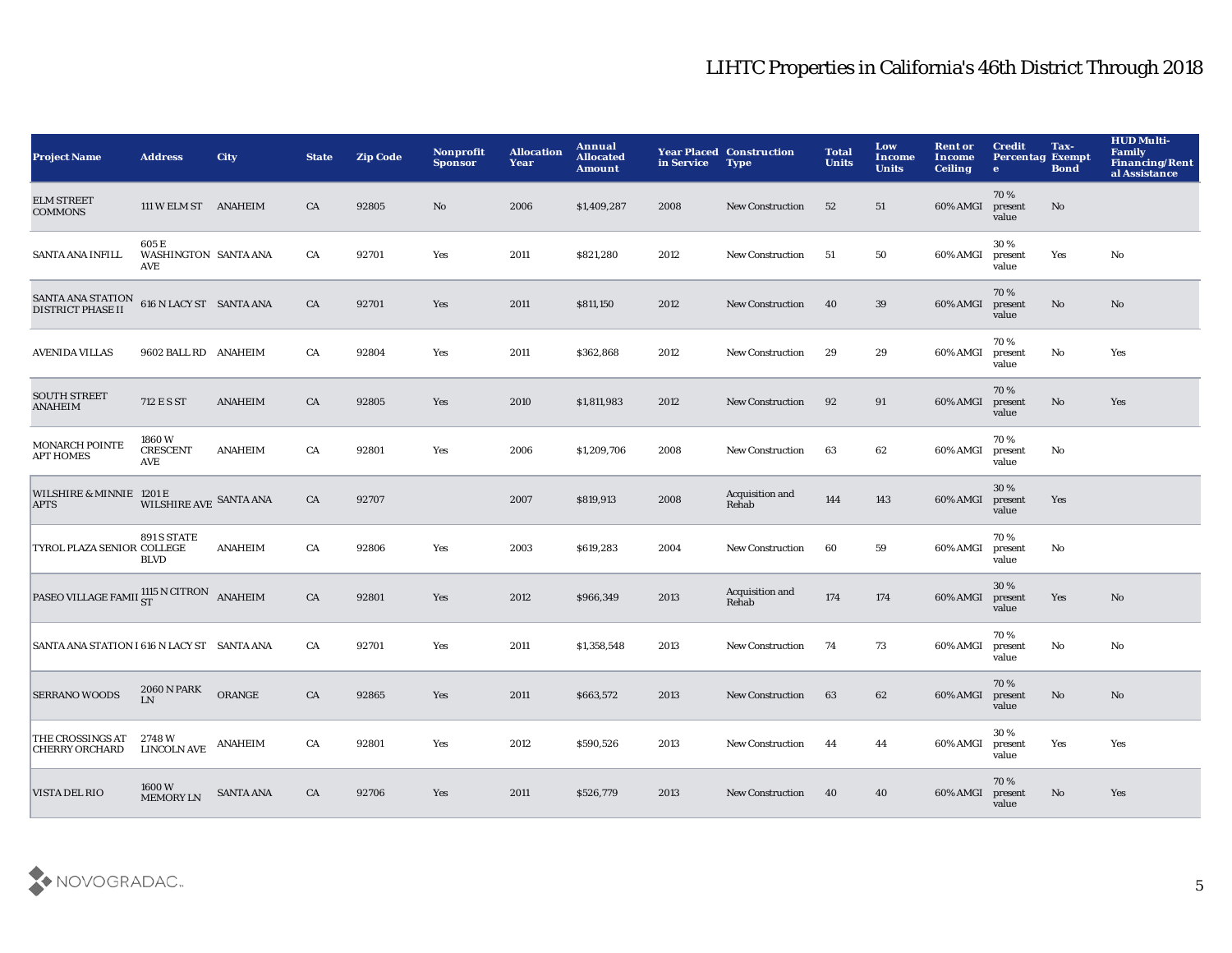| <b>Project Name</b>                                                                                                   | <b>Address</b>                       | <b>City</b>      | <b>State</b> | <b>Zip Code</b> | Nonprofit<br><b>Sponsor</b> | <b>Allocation</b><br>Year | Annual<br><b>Allocated</b><br><b>Amount</b> | in Service | <b>Year Placed Construction</b><br><b>Type</b> | <b>Total</b><br><b>Units</b> | Low<br><b>Income</b><br><b>Units</b> | <b>Rent or</b><br>Income<br><b>Ceiling</b> | <b>Credit</b><br><b>Percentag Exempt</b><br>$\bullet$ | Tax-<br><b>Bond</b> | <b>HUD Multi-</b><br><b>Family</b><br><b>Financing/Rent</b><br>al Assistance |
|-----------------------------------------------------------------------------------------------------------------------|--------------------------------------|------------------|--------------|-----------------|-----------------------------|---------------------------|---------------------------------------------|------------|------------------------------------------------|------------------------------|--------------------------------------|--------------------------------------------|-------------------------------------------------------|---------------------|------------------------------------------------------------------------------|
| <b>ELM STREET</b><br><b>COMMONS</b>                                                                                   | 111 W ELM ST ANAHEIM                 |                  | CA           | 92805           | No                          | 2006                      | \$1,409,287                                 | 2008       | <b>New Construction</b>                        | 52                           | 51                                   | 60% AMGI                                   | 70%<br>present<br>value                               | No                  |                                                                              |
| <b>SANTA ANA INFILL</b>                                                                                               | 605 E<br>WASHINGTON SANTA ANA<br>AVE |                  | CA           | 92701           | Yes                         | 2011                      | \$821,280                                   | 2012       | <b>New Construction</b>                        | 51                           | 50                                   | 60% AMGI                                   | 30%<br>present<br>value                               | Yes                 | No                                                                           |
| $\begin{tabular}{ll} \textbf{SANTA ANA STATION} & \textbf{616} \textbf{N LACY ST} & \textbf{SANTA ANA} \end{tabular}$ |                                      |                  | CA           | 92701           | Yes                         | 2011                      | \$811,150                                   | 2012       | <b>New Construction</b>                        | 40                           | 39                                   | 60% AMGI                                   | 70%<br>present<br>value                               | No                  | No                                                                           |
| <b>AVENIDA VILLAS</b>                                                                                                 | 9602 BALL RD ANAHEIM                 |                  | CA           | 92804           | Yes                         | 2011                      | \$362,868                                   | 2012       | New Construction                               | 29                           | 29                                   | 60% AMGI                                   | 70%<br>present<br>value                               | No                  | Yes                                                                          |
| <b>SOUTH STREET</b><br><b>ANAHEIM</b>                                                                                 | 712 ESST                             | <b>ANAHEIM</b>   | CA           | 92805           | Yes                         | 2010                      | \$1,811,983                                 | 2012       | <b>New Construction</b>                        | 92                           | 91                                   | 60% AMGI                                   | 70%<br>present<br>value                               | No                  | Yes                                                                          |
| <b>MONARCH POINTE</b><br><b>APT HOMES</b>                                                                             | 1860W<br><b>CRESCENT</b><br>AVE      | <b>ANAHEIM</b>   | CA           | 92801           | Yes                         | 2006                      | \$1,209,706                                 | 2008       | <b>New Construction</b>                        | 63                           | 62                                   | 60% AMGI                                   | 70%<br>present<br>value                               | No                  |                                                                              |
| WILSHIRE & MINNIE 1201 E<br><b>APTS</b>                                                                               | WILSHIRE AVE SANTA ANA               |                  | CA           | 92707           |                             | 2007                      | \$819,913                                   | 2008       | Acquisition and<br>Rehab                       | 144                          | 143                                  | 60% AMGI                                   | 30%<br>present<br>value                               | Yes                 |                                                                              |
| TYROL PLAZA SENIOR COLLEGE                                                                                            | 891 S STATE<br><b>BLVD</b>           | <b>ANAHEIM</b>   | CA           | 92806           | Yes                         | 2003                      | \$619,283                                   | 2004       | New Construction                               | 60                           | 59                                   | 60% AMGI                                   | 70%<br>present<br>value                               | No                  |                                                                              |
| PASEO VILLAGE FAMII $_{\rm ST}^{1115\text{ N}}$ CITRON ANAHEIM                                                        |                                      |                  | CA           | 92801           | Yes                         | 2012                      | \$966,349                                   | 2013       | Acquisition and<br>Rehab                       | 174                          | 174                                  | 60% AMGI                                   | 30%<br>present<br>value                               | Yes                 | No                                                                           |
| SANTA ANA STATION I 616 N LACY ST SANTA ANA                                                                           |                                      |                  | CA           | 92701           | Yes                         | 2011                      | \$1,358,548                                 | 2013       | <b>New Construction</b>                        | 74                           | 73                                   | 60% AMGI                                   | 70%<br>present<br>value                               | No                  | No                                                                           |
| <b>SERRANO WOODS</b>                                                                                                  | <b>2060 N PARK</b><br>LN             | ORANGE           | CA           | 92865           | Yes                         | 2011                      | \$663,572                                   | 2013       | <b>New Construction</b>                        | 63                           | 62                                   | 60% AMGI                                   | 70%<br>present<br>value                               | No                  | No                                                                           |
| THE CROSSINGS AT<br><b>CHERRY ORCHARD</b>                                                                             | 2748 W<br><b>LINCOLN AVE</b>         | <b>ANAHEIM</b>   | CA           | 92801           | Yes                         | 2012                      | \$590,526                                   | 2013       | New Construction                               | 44                           | 44                                   | 60% AMGI                                   | 30%<br>present<br>value                               | Yes                 | Yes                                                                          |
| VISTA DEL RIO                                                                                                         | 1600W<br><b>MEMORY LN</b>            | <b>SANTA ANA</b> | CA           | 92706           | Yes                         | 2011                      | \$526,779                                   | 2013       | <b>New Construction</b>                        | 40                           | 40                                   | 60% AMGI                                   | 70%<br>present<br>value                               | No.                 | Yes                                                                          |
|                                                                                                                       |                                      |                  |              |                 |                             |                           |                                             |            |                                                |                              |                                      |                                            |                                                       |                     |                                                                              |

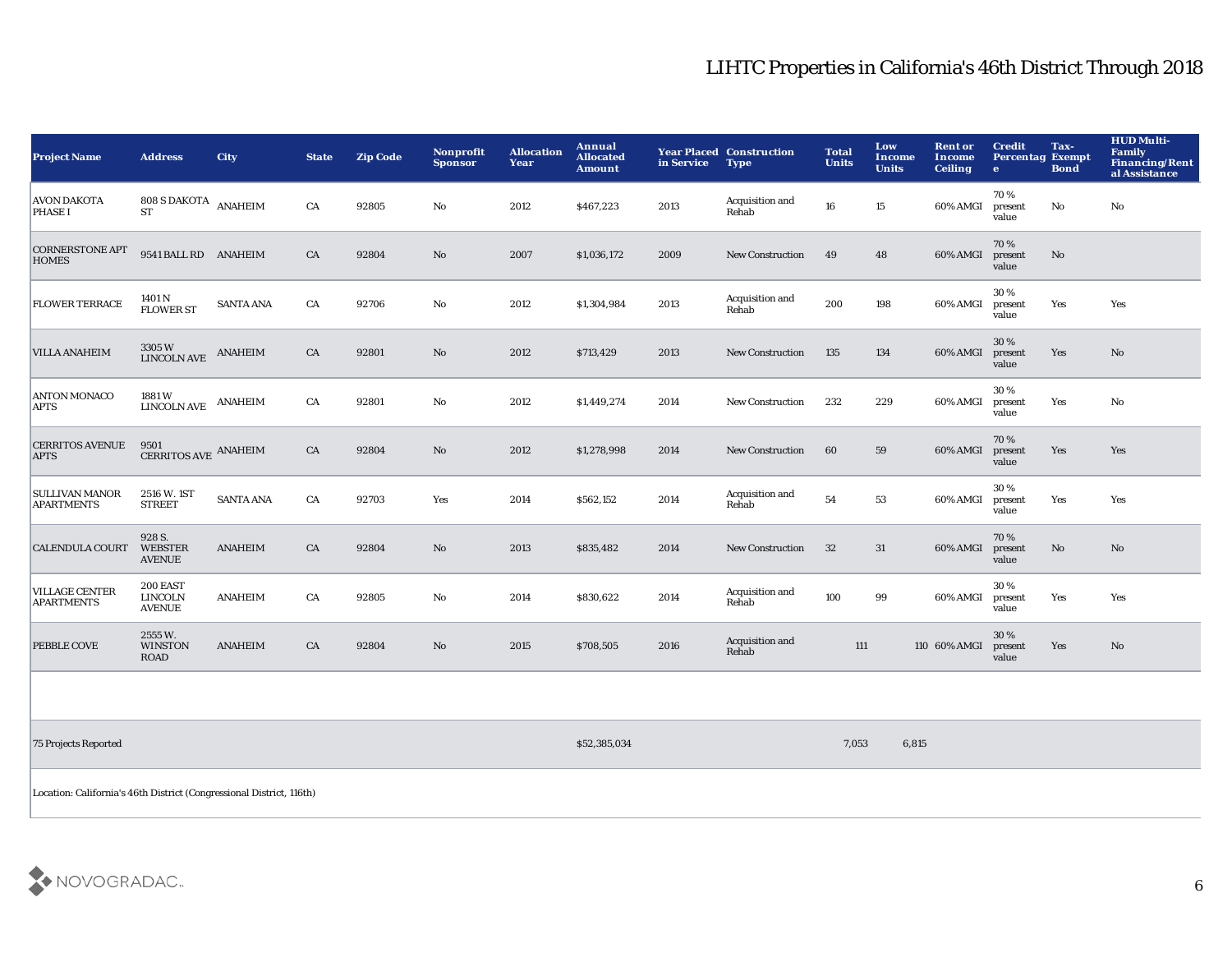| <b>Project Name</b>                        | <b>Address</b>                              | <b>City</b>      | <b>State</b> | <b>Zip Code</b> | <b>Nonprofit</b><br><b>Sponsor</b> | <b>Allocation</b><br>Year | Annual<br><b>Allocated</b><br><b>Amount</b> | in Service | <b>Year Placed Construction</b><br><b>Type</b> | <b>Total</b><br><b>Units</b> | Low<br>Income<br><b>Units</b> | <b>Rent or</b><br><b>Income</b><br><b>Ceiling</b> | <b>Credit</b><br><b>Percentag Exempt</b><br>$\mathbf{e}$ | Tax-<br><b>Bond</b>    | <b>HUD Multi-</b><br>Family<br>Financing/Rent<br>al Assistance |
|--------------------------------------------|---------------------------------------------|------------------|--------------|-----------------|------------------------------------|---------------------------|---------------------------------------------|------------|------------------------------------------------|------------------------------|-------------------------------|---------------------------------------------------|----------------------------------------------------------|------------------------|----------------------------------------------------------------|
| <b>AVON DAKOTA</b><br><b>PHASE I</b>       | $808$ S DAKOTA $\,$ ANAHEIM<br><b>ST</b>    |                  | CA           | 92805           | $\mathbf{No}$                      | 2012                      | \$467,223                                   | 2013       | Acquisition and<br>Rehab                       | 16                           | 15                            | 60% AMGI                                          | 70%<br>present<br>value                                  | No                     | $\mathbf{No}$                                                  |
| <b>CORNERSTONE APT</b><br><b>HOMES</b>     | 9541 BALL RD ANAHEIM                        |                  | CA           | 92804           | No                                 | 2007                      | \$1,036,172                                 | 2009       | <b>New Construction</b>                        | 49                           | 48                            | 60% AMGI                                          | 70%<br>present<br>value                                  | No                     |                                                                |
| <b>FLOWER TERRACE</b>                      | 1401 N<br><b>FLOWER ST</b>                  | <b>SANTA ANA</b> | CA           | 92706           | No                                 | 2012                      | \$1,304,984                                 | 2013       | Acquisition and<br>Rehab                       | 200                          | 198                           | 60% AMGI                                          | 30%<br>present<br>value                                  | Yes                    | Yes                                                            |
| <b>VILLA ANAHEIM</b>                       | 3305W<br><b>LINCOLN AVE</b>                 | <b>ANAHEIM</b>   | CA           | 92801           | No                                 | 2012                      | \$713,429                                   | 2013       | <b>New Construction</b>                        | 135                          | 134                           | 60% AMGI                                          | 30%<br>present<br>value                                  | Yes                    | No                                                             |
| <b>ANTON MONACO</b><br><b>APTS</b>         | 1881 W<br><b>LINCOLN AVE</b>                | <b>ANAHEIM</b>   | CA           | 92801           | No                                 | 2012                      | \$1,449,274                                 | 2014       | <b>New Construction</b>                        | 232                          | 229                           | 60% AMGI                                          | 30%<br>present<br>value                                  | Yes                    | No                                                             |
| <b>CERRITOS AVENUE</b><br><b>APTS</b>      | 9501<br>CERRITOS AVE ANAHEIM                |                  | CA           | 92804           | $\mathbf{N}\mathbf{o}$             | 2012                      | \$1,278,998                                 | 2014       | <b>New Construction</b>                        | 60                           | 59                            | 60% AMGI                                          | 70%<br>present<br>value                                  | Yes                    | Yes                                                            |
| <b>SULLIVAN MANOR</b><br><b>APARTMENTS</b> | 2516 W. 1ST<br><b>STREET</b>                | <b>SANTA ANA</b> | ${\rm CA}$   | 92703           | Yes                                | 2014                      | \$562,152                                   | 2014       | Acquisition and<br>Rehab                       | 54                           | 53                            | 60% AMGI                                          | 30 %<br>present<br>value                                 | Yes                    | Yes                                                            |
| <b>CALENDULA COURT</b>                     | 928 S.<br><b>WEBSTER</b><br><b>AVENUE</b>   | <b>ANAHEIM</b>   | CA           | 92804           | $\mathbf{N}\mathbf{o}$             | 2013                      | \$835,482                                   | 2014       | <b>New Construction</b>                        | 32                           | 31                            | 60% AMGI                                          | 70%<br>present<br>value                                  | $\mathbf{N}\mathbf{o}$ | $\mathbf {No}$                                                 |
| <b>VILLAGE CENTER</b><br><b>APARTMENTS</b> | 200 EAST<br><b>LINCOLN</b><br><b>AVENUE</b> | <b>ANAHEIM</b>   | CA           | 92805           | No                                 | 2014                      | \$830,622                                   | 2014       | Acquisition and<br>Rehab                       | 100                          | 99                            | 60% AMGI                                          | 30%<br>present<br>value                                  | Yes                    | Yes                                                            |
| PEBBLE COVE                                | 2555W.<br><b>WINSTON</b><br><b>ROAD</b>     | <b>ANAHEIM</b>   | CA           | 92804           | No                                 | 2015                      | \$708,505                                   | 2016       | Acquisition and<br>Rehab                       | 111                          |                               | 110 60% AMGI                                      | 30 %<br>present<br>value                                 | Yes                    | No                                                             |
|                                            |                                             |                  |              |                 |                                    |                           |                                             |            |                                                |                              |                               |                                                   |                                                          |                        |                                                                |
| 75 Projects Reported                       |                                             |                  |              |                 |                                    |                           | \$52,385,034                                |            |                                                | 7,053                        | 6,815                         |                                                   |                                                          |                        |                                                                |

Location: California's 46th District (Congressional District, 116th)